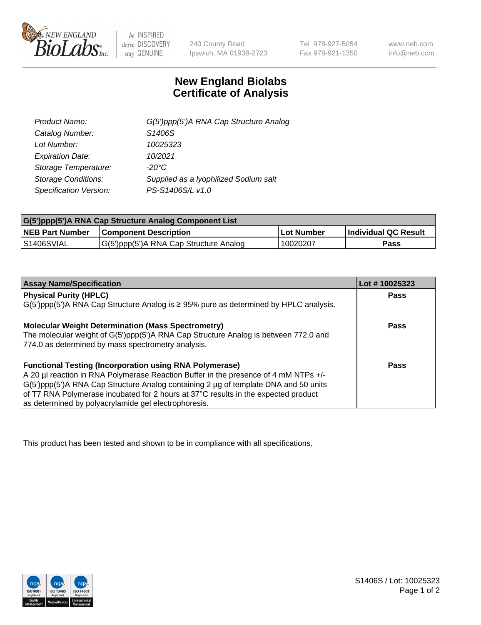

 $be$  INSPIRED drive DISCOVERY stay GENUINE

240 County Road Ipswich, MA 01938-2723 Tel 978-927-5054 Fax 978-921-1350 www.neb.com info@neb.com

## **New England Biolabs Certificate of Analysis**

| G(5')ppp(5')A RNA Cap Structure Analog |
|----------------------------------------|
| S1406S                                 |
| 10025323                               |
| 10/2021                                |
| $-20^{\circ}$ C                        |
| Supplied as a Iyophilized Sodium salt  |
| PS-S1406S/L v1.0                       |
|                                        |

| G(5')ppp(5')A RNA Cap Structure Analog Component List |                                        |                   |                             |  |
|-------------------------------------------------------|----------------------------------------|-------------------|-----------------------------|--|
| <b>NEB Part Number</b>                                | <b>Component Description</b>           | <b>Lot Number</b> | <b>Individual QC Result</b> |  |
| IS1406SVIAL                                           | G(5')ppp(5')A RNA Cap Structure Analog | 10020207          | Pass                        |  |

| <b>Assay Name/Specification</b>                                                              | Lot #10025323 |
|----------------------------------------------------------------------------------------------|---------------|
| <b>Physical Purity (HPLC)</b>                                                                | <b>Pass</b>   |
| $G(5')$ ppp(5')A RNA Cap Structure Analog is $\geq$ 95% pure as determined by HPLC analysis. |               |
| <b>Molecular Weight Determination (Mass Spectrometry)</b>                                    | <b>Pass</b>   |
| The molecular weight of G(5')ppp(5')A RNA Cap Structure Analog is between 772.0 and          |               |
| 774.0 as determined by mass spectrometry analysis.                                           |               |
| <b>Functional Testing (Incorporation using RNA Polymerase)</b>                               | <b>Pass</b>   |
| A 20 µl reaction in RNA Polymerase Reaction Buffer in the presence of 4 mM NTPs +/-          |               |
| G(5')ppp(5')A RNA Cap Structure Analog containing 2 µg of template DNA and 50 units          |               |
| of T7 RNA Polymerase incubated for 2 hours at 37°C results in the expected product           |               |
| as determined by polyacrylamide gel electrophoresis.                                         |               |

This product has been tested and shown to be in compliance with all specifications.